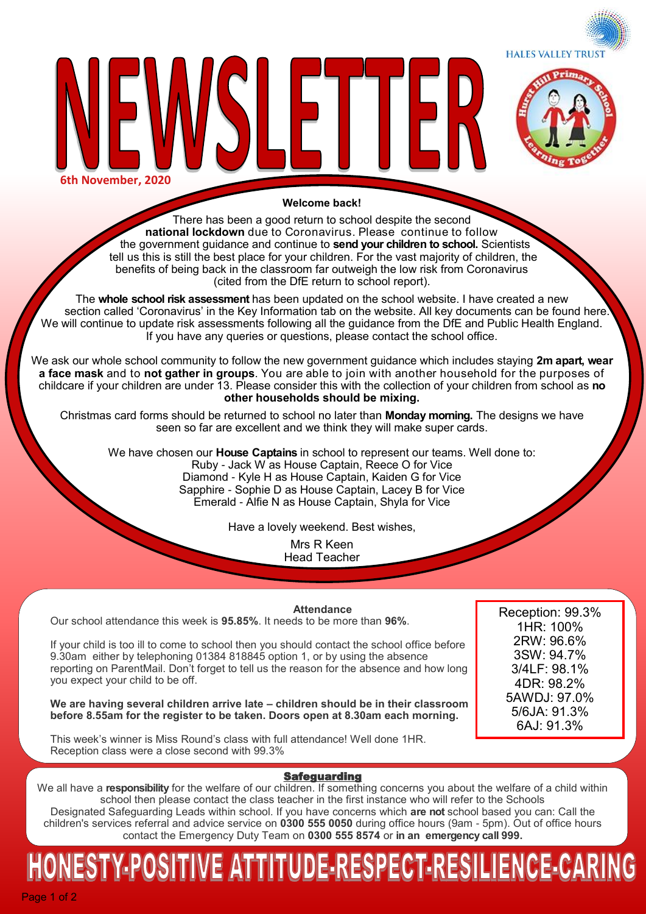**HALES VALLEY TRUST** 



**6th November, 2020**

#### **Welcome back!**

There has been a good return to school despite the second **national lockdown** due to Coronavirus. Please continue to follow the government guidance and continue to **send your children to school.** Scientists tell us this is still the best place for your children. For the vast majority of children, the benefits of being back in the classroom far outweigh the low risk from Coronavirus (cited from the DfE return to school report).

The **whole school risk assessment** has been updated on the school website. I have created a new section called 'Coronavirus' in the Key Information tab on the website. All key documents can be found here. We will continue to update risk assessments following all the guidance from the DfE and Public Health England. If you have any queries or questions, please contact the school office.

We ask our whole school community to follow the new government guidance which includes staying **2m apart, wear a face mask** and to **not gather in groups**. You are able to join with another household for the purposes of childcare if your children are under 13. Please consider this with the collection of your children from school as **no other households should be mixing.** 

Christmas card forms should be returned to school no later than **Monday morning.** The designs we have seen so far are excellent and we think they will make super cards.

We have chosen our **House Captains** in school to represent our teams. Well done to: Ruby - Jack W as House Captain, Reece O for Vice Diamond - Kyle H as House Captain, Kaiden G for Vice Sapphire - Sophie D as House Captain, Lacey B for Vice Emerald - Alfie N as House Captain, Shyla for Vice

Have a lovely weekend. Best wishes,

Mrs R Keen Head Teacher

**Attendance**

Our school attendance this week is **95.85%**. It needs to be more than **96%**.

If your child is too ill to come to school then you should contact the school office before 9.30am either by telephoning 01384 818845 option 1, or by using the absence reporting on ParentMail. Don't forget to tell us the reason for the absence and how long you expect your child to be off.

**We are having several children arrive late – children should be in their classroom before 8.55am for the register to be taken. Doors open at 8.30am each morning.** 

This week's winner is Miss Round's class with full attendance! Well done 1HR. Reception class were a close second with 99.3%

Reception: 99.3% 1HR: 100% 2RW: 96.6% 3SW: 94.7% 3/4LF: 98.1% 4DR: 98.2% 5AWDJ: 97.0% 5/6JA: 91.3% 6AJ: 91.3%

### **Safeguarding**

We all have a **responsibility** for the welfare of our children. If something concerns you about the welfare of a child within school then please contact the class teacher in the first instance who will refer to the Schools Designated Safeguarding Leads within school. If you have concerns which **are not** school based you can: Call the children's services referral and advice service on **0300 555 0050** during office hours (9am - 5pm). Out of office hours contact the Emergency Duty Team on **0300 555 8574** or **in an emergency call 999.** 

# IESTY-POSITIVE ATTITUDE-RESPECT-RESILIENCE-CARIN

Page 1 of 2